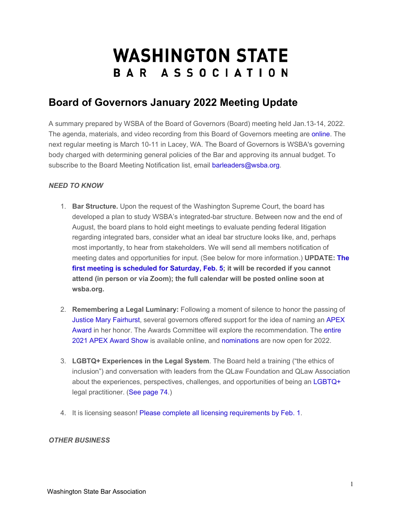## **WASHINGTON STATE** BAR ASSOCIATION

## **Board of Governors January 2022 Meeting Update**

A summary prepared by WSBA of the Board of Governors (Board) meeting held Jan.13-14, 2022. The agenda, materials, and video recording from this Board of Governors meeting are [online.](https://gcc02.safelinks.protection.outlook.com/?url=http%3A%2F%2Fwsba.informz.net%2Fz%2FcjUucD9taT0zNTM4MTY1JnA9MSZ1PTM3ODI5MjMyMiZsaT0zMzQxNTk3OQ%2Findex.html&data=04%7C01%7Cnoelb%40wsba.org%7Ca286dfb12cfe49257a2008d9e07c8b7b%7C70ff1cc281ea46819fc9079ce419e302%7C0%7C0%7C637787647794690706%7CUnknown%7CTWFpbGZsb3d8eyJWIjoiMC4wLjAwMDAiLCJQIjoiV2luMzIiLCJBTiI6Ik1haWwiLCJXVCI6Mn0%3D%7C3000&sdata=VPUuWXSK1Ksw7noDhFZIWhaRw%2F0E55DPMC%2FK5i%2FqkWE%3D&reserved=0) The next regular meeting is March 10-11 in Lacey, WA. The Board of Governors is WSBA's governing body charged with determining general policies of the Bar and approving its annual budget. To subscribe to the Board Meeting Notification list, email [barleaders@wsba.org.](mailto:barleaders@wsba.org)

## *NEED TO KNOW*

- 1. **Bar Structure.** Upon the request of the Washington Supreme Court, the board has developed a plan to study WSBA's integrated-bar structure. Between now and the end of August, the board plans to hold eight meetings to evaluate pending federal litigation regarding integrated bars, consider what an ideal bar structure looks like, and, perhaps most importantly, to hear from stakeholders. We will send all members notification of meeting dates and opportunities for input. (See below for more information.) **UPDATE[: The](https://gcc02.safelinks.protection.outlook.com/?url=http%3A%2F%2Fwsba.informz.net%2Fz%2FcjUucD9taT0zNTM4MTY1JnA9MSZ1PTM3ODI5MjMyMiZsaT0zMzQxNTk3OQ%2Findex.html&data=04%7C01%7Cnoelb%40wsba.org%7Ca286dfb12cfe49257a2008d9e07c8b7b%7C70ff1cc281ea46819fc9079ce419e302%7C0%7C0%7C637787647794690706%7CUnknown%7CTWFpbGZsb3d8eyJWIjoiMC4wLjAwMDAiLCJQIjoiV2luMzIiLCJBTiI6Ik1haWwiLCJXVCI6Mn0%3D%7C3000&sdata=VPUuWXSK1Ksw7noDhFZIWhaRw%2F0E55DPMC%2FK5i%2FqkWE%3D&reserved=0)  [first meeting is scheduled for Saturday, Feb. 5;](https://gcc02.safelinks.protection.outlook.com/?url=http%3A%2F%2Fwsba.informz.net%2Fz%2FcjUucD9taT0zNTM4MTY1JnA9MSZ1PTM3ODI5MjMyMiZsaT0zMzQxNTk3OQ%2Findex.html&data=04%7C01%7Cnoelb%40wsba.org%7Ca286dfb12cfe49257a2008d9e07c8b7b%7C70ff1cc281ea46819fc9079ce419e302%7C0%7C0%7C637787647794690706%7CUnknown%7CTWFpbGZsb3d8eyJWIjoiMC4wLjAwMDAiLCJQIjoiV2luMzIiLCJBTiI6Ik1haWwiLCJXVCI6Mn0%3D%7C3000&sdata=VPUuWXSK1Ksw7noDhFZIWhaRw%2F0E55DPMC%2FK5i%2FqkWE%3D&reserved=0) it will be recorded if you cannot attend (in person or via Zoom); the full calendar will be posted online soon at wsba.org.**
- 2. **Remembering a Legal Luminary:** Following a moment of silence to honor the passing of [Justice Mary Fairhurst,](https://gcc02.safelinks.protection.outlook.com/?url=http%3A%2F%2Fwsba.informz.net%2Fz%2FcjUucD9taT0zNTM4MTY1JnA9MSZ1PTM3ODI5MjMyMiZsaT0zMzQxNTk4NA%2Findex.html&data=04%7C01%7Cnoelb%40wsba.org%7Ca286dfb12cfe49257a2008d9e07c8b7b%7C70ff1cc281ea46819fc9079ce419e302%7C0%7C0%7C637787647794690706%7CUnknown%7CTWFpbGZsb3d8eyJWIjoiMC4wLjAwMDAiLCJQIjoiV2luMzIiLCJBTiI6Ik1haWwiLCJXVCI6Mn0%3D%7C3000&sdata=GRbWFLZze8WBKCPF%2B1Hb341iDP%2B0DSdNDDXOjG6KmO0%3D&reserved=0) several governors offered support for the idea of naming an [APEX](https://gcc02.safelinks.protection.outlook.com/?url=http%3A%2F%2Fwsba.informz.net%2Fz%2FcjUucD9taT0zNTM4MTY1JnA9MSZ1PTM3ODI5MjMyMiZsaT0zMzQxNTk4NQ%2Findex.html&data=04%7C01%7Cnoelb%40wsba.org%7Ca286dfb12cfe49257a2008d9e07c8b7b%7C70ff1cc281ea46819fc9079ce419e302%7C0%7C0%7C637787647794690706%7CUnknown%7CTWFpbGZsb3d8eyJWIjoiMC4wLjAwMDAiLCJQIjoiV2luMzIiLCJBTiI6Ik1haWwiLCJXVCI6Mn0%3D%7C3000&sdata=8C52APlpQHt2WWO%2Bf8d81kTufWCocDLPq%2BhHVbF1tOk%3D&reserved=0)  [Award](https://gcc02.safelinks.protection.outlook.com/?url=http%3A%2F%2Fwsba.informz.net%2Fz%2FcjUucD9taT0zNTM4MTY1JnA9MSZ1PTM3ODI5MjMyMiZsaT0zMzQxNTk4NQ%2Findex.html&data=04%7C01%7Cnoelb%40wsba.org%7Ca286dfb12cfe49257a2008d9e07c8b7b%7C70ff1cc281ea46819fc9079ce419e302%7C0%7C0%7C637787647794690706%7CUnknown%7CTWFpbGZsb3d8eyJWIjoiMC4wLjAwMDAiLCJQIjoiV2luMzIiLCJBTiI6Ik1haWwiLCJXVCI6Mn0%3D%7C3000&sdata=8C52APlpQHt2WWO%2Bf8d81kTufWCocDLPq%2BhHVbF1tOk%3D&reserved=0) in her honor. The Awards Committee will explore the recommendation. The [entire](https://gcc02.safelinks.protection.outlook.com/?url=http%3A%2F%2Fwsba.informz.net%2Fz%2FcjUucD9taT0zNTM4MTY1JnA9MSZ1PTM3ODI5MjMyMiZsaT0zMzQxNTk4Nw%2Findex.html&data=04%7C01%7Cnoelb%40wsba.org%7Ca286dfb12cfe49257a2008d9e07c8b7b%7C70ff1cc281ea46819fc9079ce419e302%7C0%7C0%7C637787647794690706%7CUnknown%7CTWFpbGZsb3d8eyJWIjoiMC4wLjAwMDAiLCJQIjoiV2luMzIiLCJBTiI6Ik1haWwiLCJXVCI6Mn0%3D%7C3000&sdata=Q5iiJeX1Nd77sUE%2BjYXrjyCHVFSXSgX1ZlTMwjvmdjY%3D&reserved=0)  [2021 APEX Award](https://gcc02.safelinks.protection.outlook.com/?url=http%3A%2F%2Fwsba.informz.net%2Fz%2FcjUucD9taT0zNTM4MTY1JnA9MSZ1PTM3ODI5MjMyMiZsaT0zMzQxNTk4Nw%2Findex.html&data=04%7C01%7Cnoelb%40wsba.org%7Ca286dfb12cfe49257a2008d9e07c8b7b%7C70ff1cc281ea46819fc9079ce419e302%7C0%7C0%7C637787647794690706%7CUnknown%7CTWFpbGZsb3d8eyJWIjoiMC4wLjAwMDAiLCJQIjoiV2luMzIiLCJBTiI6Ik1haWwiLCJXVCI6Mn0%3D%7C3000&sdata=Q5iiJeX1Nd77sUE%2BjYXrjyCHVFSXSgX1ZlTMwjvmdjY%3D&reserved=0) Show is available online, and [nominations](https://gcc02.safelinks.protection.outlook.com/?url=http%3A%2F%2Fwsba.informz.net%2Fz%2FcjUucD9taT0zNTM4MTY1JnA9MSZ1PTM3ODI5MjMyMiZsaT0zMzQxNTk4OA%2Findex.html&data=04%7C01%7Cnoelb%40wsba.org%7Ca286dfb12cfe49257a2008d9e07c8b7b%7C70ff1cc281ea46819fc9079ce419e302%7C0%7C0%7C637787647794690706%7CUnknown%7CTWFpbGZsb3d8eyJWIjoiMC4wLjAwMDAiLCJQIjoiV2luMzIiLCJBTiI6Ik1haWwiLCJXVCI6Mn0%3D%7C3000&sdata=59TMhRg4UKITo%2BMAfGj9vFN%2F3%2FxuVk1pi1qIjIaTWGc%3D&reserved=0) are now open for 2022.
- 3. **LGBTQ+ Experiences in the Legal System**. The Board held a training ("the ethics of inclusion") and conversation with leaders from the QLaw Foundation and QLaw Association about the experiences, perspectives, challenges, and opportunities of being an [LGBTQ+](https://gcc02.safelinks.protection.outlook.com/?url=http%3A%2F%2Fwsba.informz.net%2Fz%2FcjUucD9taT0zNTM4MTY1JnA9MSZ1PTM3ODI5MjMyMiZsaT0zMzQxNTk4OQ%2Findex.html&data=04%7C01%7Cnoelb%40wsba.org%7Ca286dfb12cfe49257a2008d9e07c8b7b%7C70ff1cc281ea46819fc9079ce419e302%7C0%7C0%7C637787647794690706%7CUnknown%7CTWFpbGZsb3d8eyJWIjoiMC4wLjAwMDAiLCJQIjoiV2luMzIiLCJBTiI6Ik1haWwiLCJXVCI6Mn0%3D%7C3000&sdata=jo3IszBqXxgDijLYOqZC5VVYCFYykuX3%2BBjpVvr8OnI%3D&reserved=0) legal practitioner. [\(See page 74.](https://gcc02.safelinks.protection.outlook.com/?url=http%3A%2F%2Fwsba.informz.net%2Fz%2FcjUucD9taT0zNTM4MTY1JnA9MSZ1PTM3ODI5MjMyMiZsaT0zMzQxNTk5MQ%2Findex.html&data=04%7C01%7Cnoelb%40wsba.org%7Ca286dfb12cfe49257a2008d9e07c8b7b%7C70ff1cc281ea46819fc9079ce419e302%7C0%7C0%7C637787647794690706%7CUnknown%7CTWFpbGZsb3d8eyJWIjoiMC4wLjAwMDAiLCJQIjoiV2luMzIiLCJBTiI6Ik1haWwiLCJXVCI6Mn0%3D%7C3000&sdata=NwZiQeZtmiFpSMnQx3sqamOl8yyOnqBoiWoLKn05a%2BM%3D&reserved=0))
- 4. It is licensing season! [Please complete all licensing requirements by Feb. 1.](https://gcc02.safelinks.protection.outlook.com/?url=http%3A%2F%2Fwsba.informz.net%2Fz%2FcjUucD9taT0zNTM4MTY1JnA9MSZ1PTM3ODI5MjMyMiZsaT0zMzQxNTk5Mg%2Findex.html&data=04%7C01%7Cnoelb%40wsba.org%7Ca286dfb12cfe49257a2008d9e07c8b7b%7C70ff1cc281ea46819fc9079ce419e302%7C0%7C0%7C637787647794690706%7CUnknown%7CTWFpbGZsb3d8eyJWIjoiMC4wLjAwMDAiLCJQIjoiV2luMzIiLCJBTiI6Ik1haWwiLCJXVCI6Mn0%3D%7C3000&sdata=VJ0Wh3qnV0LxOG6eebMefT4CrWloGvotwcHfx0jenCs%3D&reserved=0)

## *OTHER BUSINESS*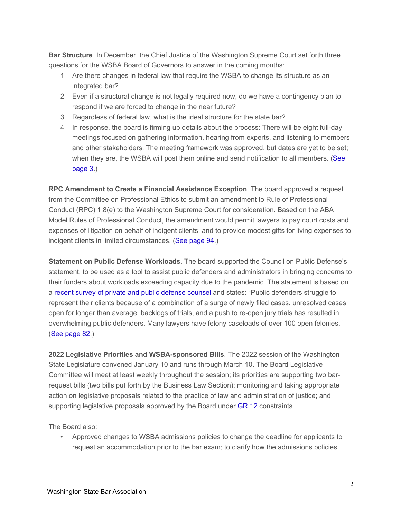**Bar Structure**. In December, the Chief Justice of the Washington Supreme Court set forth three questions for the WSBA Board of Governors to answer in the coming months:

- 1 Are there changes in federal law that require the WSBA to change its structure as an integrated bar?
- 2 Even if a structural change is not legally required now, do we have a contingency plan to respond if we are forced to change in the near future?
- 3 Regardless of federal law, what is the ideal structure for the state bar?
- 4 In response, the board is firming up details about the process: There will be eight full-day meetings focused on gathering information, hearing from experts, and listening to members and other stakeholders. The meeting framework was approved, but dates are yet to be set; when they are, the WSBA will post them online and send notification to all members. (See [page 3.](https://gcc02.safelinks.protection.outlook.com/?url=http%3A%2F%2Fwsba.informz.net%2Fz%2FcjUucD9taT0zNTM4MTY1JnA9MSZ1PTM3ODI5MjMyMiZsaT0zMzQxNTk5Mw%2Findex.html&data=04%7C01%7Cnoelb%40wsba.org%7Ca286dfb12cfe49257a2008d9e07c8b7b%7C70ff1cc281ea46819fc9079ce419e302%7C0%7C0%7C637787647794690706%7CUnknown%7CTWFpbGZsb3d8eyJWIjoiMC4wLjAwMDAiLCJQIjoiV2luMzIiLCJBTiI6Ik1haWwiLCJXVCI6Mn0%3D%7C3000&sdata=Xu%2Bxc725rszeiRZk%2BlttFI3ny0IgNjwtXANUSxwy1sk%3D&reserved=0))

**RPC Amendment to Create a Financial Assistance Exception**. The board approved a request from the Committee on Professional Ethics to submit an amendment to Rule of Professional Conduct (RPC) 1.8(e) to the Washington Supreme Court for consideration. Based on the ABA Model Rules of Professional Conduct, the amendment would permit lawyers to pay court costs and expenses of litigation on behalf of indigent clients, and to provide modest gifts for living expenses to indigent clients in limited circumstances. [\(See page 94.](https://gcc02.safelinks.protection.outlook.com/?url=http%3A%2F%2Fwsba.informz.net%2Fz%2FcjUucD9taT0zNTM4MTY1JnA9MSZ1PTM3ODI5MjMyMiZsaT0zMzQxNTk5NQ%2Findex.html&data=04%7C01%7Cnoelb%40wsba.org%7Ca286dfb12cfe49257a2008d9e07c8b7b%7C70ff1cc281ea46819fc9079ce419e302%7C0%7C0%7C637787647794690706%7CUnknown%7CTWFpbGZsb3d8eyJWIjoiMC4wLjAwMDAiLCJQIjoiV2luMzIiLCJBTiI6Ik1haWwiLCJXVCI6Mn0%3D%7C3000&sdata=fDVExFwbSMvbuTFHDOeRggkhq%2Bufk6xo7V00KDlMzAY%3D&reserved=0))

**Statement on Public Defense Workloads**. The board supported the Council on Public Defense's statement, to be used as a tool to assist public defenders and administrators in bringing concerns to their funders about workloads exceeding capacity due to the pandemic. The statement is based on a [recent survey of private and public defense counsel a](https://gcc02.safelinks.protection.outlook.com/?url=http%3A%2F%2Fwsba.informz.net%2Fz%2FcjUucD9taT0zNTM4MTY1JnA9MSZ1PTM3ODI5MjMyMiZsaT0zMzQxNTk5Ng%2Findex.html&data=04%7C01%7Cnoelb%40wsba.org%7Ca286dfb12cfe49257a2008d9e07c8b7b%7C70ff1cc281ea46819fc9079ce419e302%7C0%7C0%7C637787647794690706%7CUnknown%7CTWFpbGZsb3d8eyJWIjoiMC4wLjAwMDAiLCJQIjoiV2luMzIiLCJBTiI6Ik1haWwiLCJXVCI6Mn0%3D%7C3000&sdata=xJqOZY20X5vsw6mIV1pduYWOPXrJgk8DajZ9GzR16q0%3D&reserved=0)nd states: "Public defenders struggle to represent their clients because of a combination of a surge of newly filed cases, unresolved cases open for longer than average, backlogs of trials, and a push to re-open jury trials has resulted in overwhelming public defenders. Many lawyers have felony caseloads of over 100 open felonies." [\(See page 82.](https://gcc02.safelinks.protection.outlook.com/?url=http%3A%2F%2Fwsba.informz.net%2Fz%2FcjUucD9taT0zNTM4MTY1JnA9MSZ1PTM3ODI5MjMyMiZsaT0zMzQxNTk5Nw%2Findex.html&data=04%7C01%7Cnoelb%40wsba.org%7Ca286dfb12cfe49257a2008d9e07c8b7b%7C70ff1cc281ea46819fc9079ce419e302%7C0%7C0%7C637787647794690706%7CUnknown%7CTWFpbGZsb3d8eyJWIjoiMC4wLjAwMDAiLCJQIjoiV2luMzIiLCJBTiI6Ik1haWwiLCJXVCI6Mn0%3D%7C3000&sdata=N3sx0iwNQxS%2FMCHe2BqGKC4J8NuysTHseYnupr%2BbPlg%3D&reserved=0))

**2022 Legislative Priorities and WSBA-sponsored Bills**. The 2022 session of the Washington State Legislature convened January 10 and runs through March 10. The Board Legislative Committee will meet at least weekly throughout the session; its priorities are supporting two barrequest bills (two bills put forth by the Business Law Section); monitoring and taking appropriate action on legislative proposals related to the practice of law and administration of justice; and supporting legislative proposals approved by the Board under [GR 12](https://gcc02.safelinks.protection.outlook.com/?url=http%3A%2F%2Fwsba.informz.net%2Fz%2FcjUucD9taT0zNTM4MTY1JnA9MSZ1PTM3ODI5MjMyMiZsaT0zMzQxNTk5OA%2Findex.html&data=04%7C01%7Cnoelb%40wsba.org%7Ca286dfb12cfe49257a2008d9e07c8b7b%7C70ff1cc281ea46819fc9079ce419e302%7C0%7C0%7C637787647794690706%7CUnknown%7CTWFpbGZsb3d8eyJWIjoiMC4wLjAwMDAiLCJQIjoiV2luMzIiLCJBTiI6Ik1haWwiLCJXVCI6Mn0%3D%7C3000&sdata=epqQgid6KdiR44ZYDIENVvkFl1Wn3gyiEU3o0ywF5ms%3D&reserved=0) constraints.

The Board also:

• Approved changes to WSBA admissions policies to change the deadline for applicants to request an accommodation prior to the bar exam; to clarify how the admissions policies